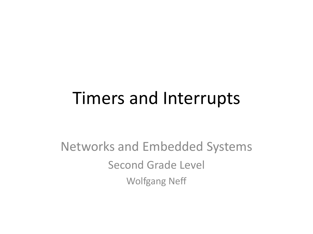#### Timers and Interrupts

Networks and Embedded Systems Second Grade Level Wolfgang Neff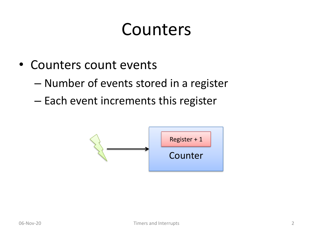#### Counters

- Counters count events
	- Number of events stored in a register
	- Each event increments this register

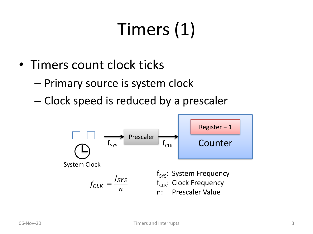### Timers (1)

- Timers count clock ticks
	- Primary source is system clock
	- Clock speed is reduced by a prescaler

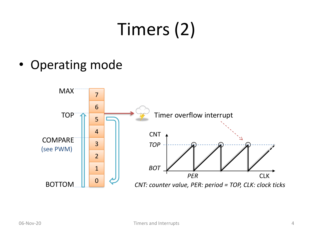## Timers (2)

• Operating mode

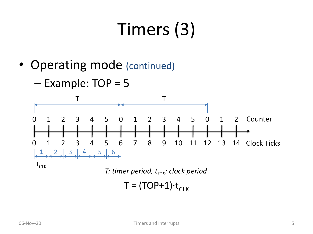## Timers (3)

• Operating mode (continued)

 $-$  Example: TOP = 5

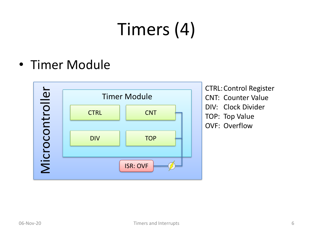## Timers (4)

• Timer Module



CTRL:Control Register CNT: Counter Value DIV: Clock Divider TOP: Top Value OVF: Overflow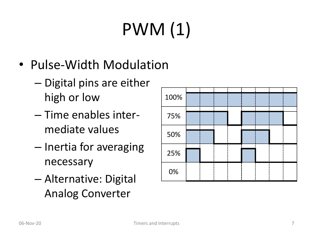# PWM (1)

- Pulse-Width Modulation
	- Digital pins are either high or low
	- Time enables intermediate values
	- Inertia for averaging necessary
	- Alternative: Digital Analog Converter

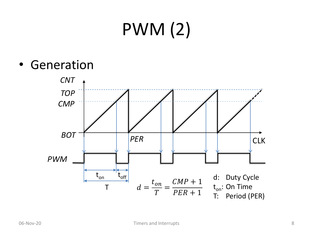## PWM (2)

• Generation

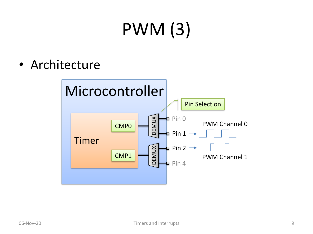## PWM (3)

• Architecture

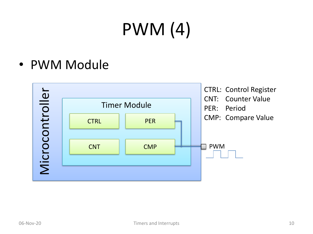## PWM (4)

• PWM Module

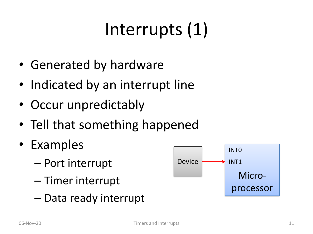## Interrupts (1)

- Generated by hardware
- Indicated by an interrupt line
- Occur unpredictably
- Tell that something happened
- Examples
	- Port interrupt
	- Timer interrupt
	- Data ready interrupt

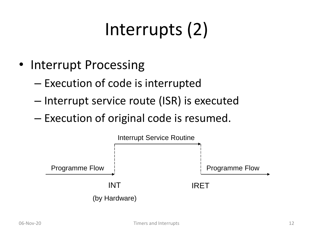## Interrupts (2)

- Interrupt Processing
	- Execution of code is interrupted
	- Interrupt service route (ISR) is executed
	- Execution of original code is resumed.